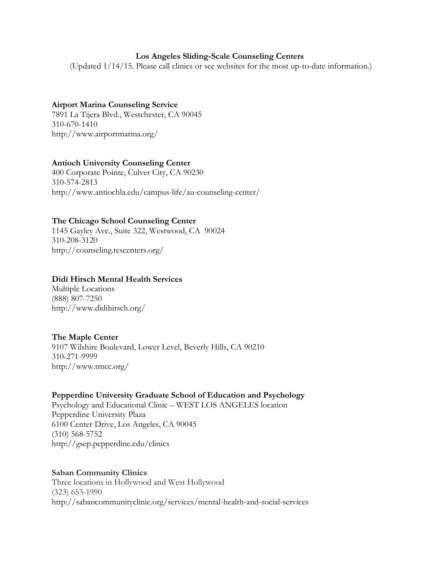### **Los Angeles Sliding-Scale Counseling Centers**

(Updated 1/14/15. Please call clinics or see websites for the most up-to-date information.)

## **Airport Marina Counseling Service**

7891 La Tijera Blvd., Westchester, CA 90045 310-670-1410 http://www.airportmarina.org/

# **Antioch University Counseling Center**

400 Corporate Pointe, Culver City, CA 90230 310-574-2813 http://www.antiochla.edu/campus-life/au-counseling-center/

### **The Chicago School Counseling Center**

1145 Gayley Ave., Suite 322, Westwood, CA 90024 310-208-3120 http://counseling.tcscenters.org/

### **Didi Hirsch Mental Health Services**

Multiple Locations (888) 807-7250 http://www.didihirsch.org/

### **The Maple Center**

9107 Wilshire Boulevard, Lower Level, Beverly Hills, CA 90210 310-271-9999 http://www.tmcc.org/

### **Pepperdine University Graduate School of Education and Psychology**

Psychology and Educational Clinic – WEST LOS ANGELES location Pepperdine University Plaza 6100 Center Drive, Los Angeles, CA 90045 (310) 568-5752 http://gsep.pepperdine.edu/clinics

#### **Saban Community Clinics**

Three locations in Hollywood and West Hollywood (323) 653-1990 http://sabancommunityclinic.org/services/mental-health-and-social-services